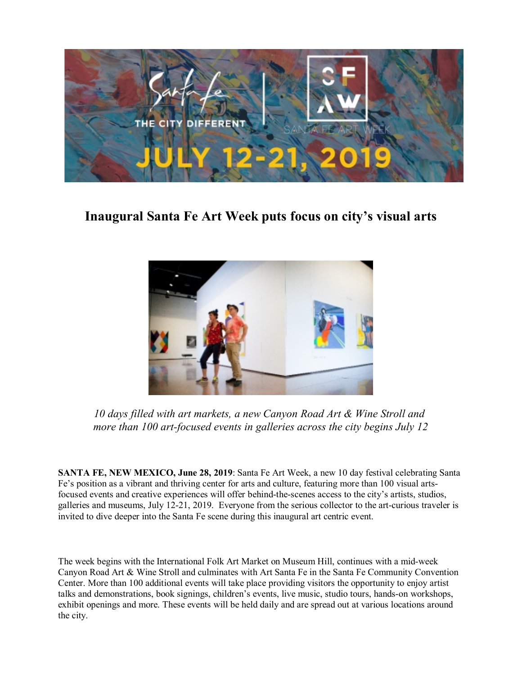

**Inaugural Santa Fe Art Week puts focus on city's visual arts**



*10 days filled with art markets, a new Canyon Road Art & Wine Stroll and more than 100 art-focused events in galleries across the city begins July 12*

**SANTA FE, NEW MEXICO, June 28, 2019**: Santa Fe Art Week, a new 10 day festival celebrating Santa Fe's position as a vibrant and thriving center for arts and culture, featuring more than 100 visual artsfocused events and creative experiences will offer behind-the-scenes access to the city's artists, studios, galleries and museums, July 12-21, 2019. Everyone from the serious collector to the art-curious traveler is invited to dive deeper into the Santa Fe scene during this inaugural art centric event.

The week begins with the International Folk Art Market on Museum Hill, continues with a mid-week Canyon Road Art & Wine Stroll and culminates with Art Santa Fe in the Santa Fe Community Convention Center. More than 100 additional events will take place providing visitors the opportunity to enjoy artist talks and demonstrations, book signings, children's events, live music, studio tours, hands-on workshops, exhibit openings and more. These events will be held daily and are spread out at various locations around the city.